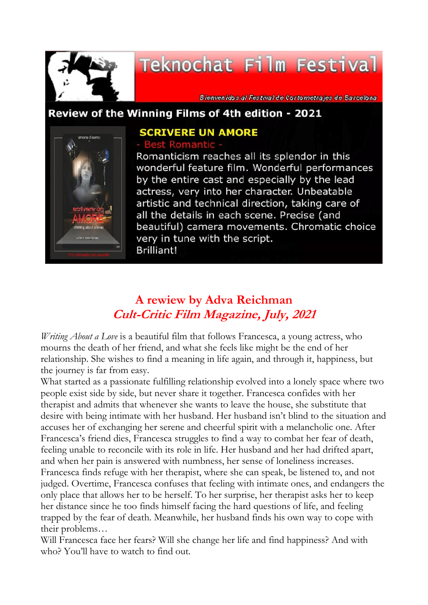

# Teknochat Film Festival

8 ienvenidos al Festival de Cortometrajes de Barcelona

#### Review of the Winning Films of 4th edition - 2021



### **SCRIVERE UN AMORE**

Romanticism reaches all its splendor in this wonderful feature film. Wonderful performances by the entire cast and especially by the lead actress, very into her character. Unbeatable artistic and technical direction, taking care of all the details in each scene. Precise (and beautiful) camera movements. Chromatic choice very in tune with the script. **Brilliant!** 

## **A rewiew by Adva Reichman Cult-Critic Film Magazine, July, 2021**

*Writing About a Love* is a beautiful film that follows Francesca, a young actress, who mourns the death of her friend, and what she feels like might be the end of her relationship. She wishes to find a meaning in life again, and through it, happiness, but the journey is far from easy.

What started as a passionate fulfilling relationship evolved into a lonely space where two people exist side by side, but never share it together. Francesca confides with her therapist and admits that whenever she wants to leave the house, she substitute that desire with being intimate with her husband. Her husband isn't blind to the situation and accuses her of exchanging her serene and cheerful spirit with a melancholic one. After Francesca's friend dies, Francesca struggles to find a way to combat her fear of death, feeling unable to reconcile with its role in life. Her husband and her had drifted apart, and when her pain is answered with numbness, her sense of loneliness increases. Francesca finds refuge with her therapist, where she can speak, be listened to, and not judged. Overtime, Francesca confuses that feeling with intimate ones, and endangers the only place that allows her to be herself. To her surprise, her therapist asks her to keep her distance since he too finds himself facing the hard questions of life, and feeling trapped by the fear of death. Meanwhile, her husband finds his own way to cope with their problems…

Will Francesca face her fears? Will she change her life and find happiness? And with who? You'll have to watch to find out.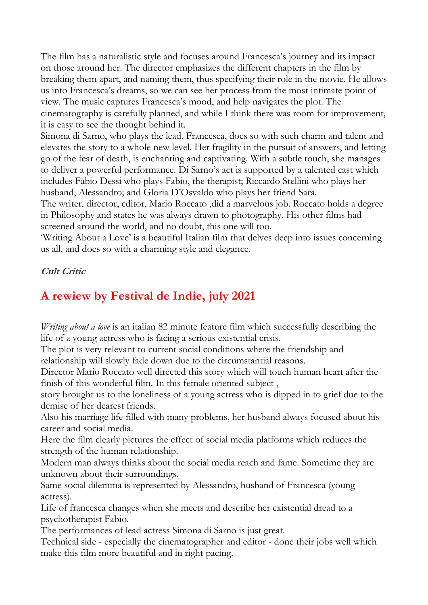The film has a naturalistic style and focuses around Francesca's journey and its impact on those around her. The director emphasizes the different chapters in the film by breaking them apart, and naming them, thus specifying their role in the movie. He allows us into Francesca's dreams, so we can see her process from the most intimate point of view. The music captures Francesca's mood, and help navigates the plot. The cinematography is carefully planned, and while I think there was room for improvement, it is easy to see the thought behind it.

Simona di Sarno, who plays the lead, Francesca, does so with such charm and talent and elevates the story to a whole new level. Her fragility in the pursuit of answers, and letting go of the fear of death, is enchanting and captivating. With a subtle touch, she manages to deliver a powerful performance. Di Sarno's act is supported by a talented cast which includes Fabio Dessi who plays Fabio, the therapist; Riccardo Stellini who plays her husband, Alessandro; and Gloria D'Osvaldo who plays her friend Sara.

The writer, director, editor, Mario Roccato ,did a marvelous job. Roccato holds a degree in Philosophy and states he was always drawn to photography. His other films had screened around the world, and no doubt, this one will too.

'Writing About a Love' is a beautiful Italian film that delves deep into issues concerning us all, and does so with a charming style and elegance.

#### **Cult Critic**

## **A rewiew by Festival de Indie, july 2021**

*Writing about a love* is an italian 82 minute feature film which successfully describing the life of a young actress who is facing a serious existential crisis.

The plot is very relevant to current social conditions where the friendship and relationship will slowly fade down due to the circumstantial reasons.

Director Mario Roccato well directed this story which will touch human heart after the finish of this wonderful film. In this female oriented subject ,

story brought us to the loneliness of a young actress who is dipped in to grief due to the demise of her dearest friends.

Also his marriage life filled with many problems, her husband always focused about his career and social media.

Here the film clearly pictures the effect of social media platforms which reduces the strength of the human relationship.

Modern man always thinks about the social media reach and fame. Sometime they are unknown about their surroundings.

Same social dilemma is represented by Alessandro, husband of Francesca (young actress).

Life of francesca changes when she meets and describe her existential dread to a psychotherapist Fabio.

The performances of lead actress Simona di Sarno is just great.

Technical side - especially the cinematographer and editor - done their jobs well which make this film more beautiful and in right pacing.